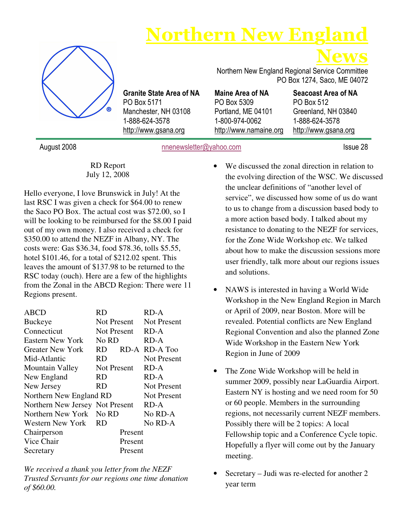# **Northern New Engl**



Granite State Area of NA PO Box 5171 Manchester, NH 03108 1-888-624-3578 http://www.gsana.org

News Northern New England Regional Service Committee PO Box 1274, Saco, ME 04072

Maine Area of NA PO Box 5309 Portland, ME 04101 1-800-974-0062 http://www.namaine.org

Seacoast Area of NA PO Box 512 Greenland, NH 03840 1-888-624-3578 http://www.gsana.org

August 2008 **nnenewsletter@yahoo.com** Issue 28

RD Report July 12, 2008

Hello everyone, I love Brunswick in July! At the last RSC I was given a check for \$64.00 to renew the Saco PO Box. The actual cost was \$72.00, so I will be looking to be reimbursed for the \$8.00 I paid out of my own money. I also received a check for \$350.00 to attend the NEZF in Albany, NY. The costs were: Gas \$36.34, food \$78.36, tolls \$5.55, hotel \$101.46, for a total of \$212.02 spent. This leaves the amount of \$137.98 to be returned to the RSC today (ouch). Here are a few of the highlights from the Zonal in the ABCD Region: There were 11 Regions present.

| ABCD                            | RD                | RD-A               |  |  |  |  |
|---------------------------------|-------------------|--------------------|--|--|--|--|
| Buckeye                         | Not Present       | <b>Not Present</b> |  |  |  |  |
| Connecticut                     | Not Present       | RD-A               |  |  |  |  |
| <b>Eastern New York</b>         | No RD             | RD-A               |  |  |  |  |
| <b>Greater New York</b>         | <b>RD</b><br>RD-A | RD-A Too           |  |  |  |  |
| Mid-Atlantic                    | RD                | <b>Not Present</b> |  |  |  |  |
| <b>Mountain Valley</b>          | Not Present       | RD-A               |  |  |  |  |
| New England                     | RD                | RD-A               |  |  |  |  |
| New Jersey                      | RD                | <b>Not Present</b> |  |  |  |  |
| Northern New England RD         |                   | <b>Not Present</b> |  |  |  |  |
| Northern New Jersey Not Present |                   | RD-A               |  |  |  |  |
| Northern New York No RD         |                   | No RD-A            |  |  |  |  |
| Western New York                | <b>RD</b>         | No RD-A            |  |  |  |  |
| Chairperson                     | Present           |                    |  |  |  |  |
| Vice Chair                      | Present           |                    |  |  |  |  |
| Secretary                       | Present           |                    |  |  |  |  |

*We received a thank you letter from the NEZF Trusted Servants for our regions one time donation of \$60.00.* 

- We discussed the zonal direction in relation to the evolving direction of the WSC. We discussed the unclear definitions of "another level of service", we discussed how some of us do want to us to change from a discussion based body to a more action based body. I talked about my resistance to donating to the NEZF for services, for the Zone Wide Workshop etc. We talked about how to make the discussion sessions more user friendly, talk more about our regions issues and solutions.
- NAWS is interested in having a World Wide Workshop in the New England Region in March or April of 2009, near Boston. More will be revealed. Potential conflicts are New England Regional Convention and also the planned Zone Wide Workshop in the Eastern New York Region in June of 2009
- The Zone Wide Workshop will be held in summer 2009, possibly near LaGuardia Airport. Eastern NY is hosting and we need room for 50 or 60 people. Members in the surrounding regions, not necessarily current NEZF members. Possibly there will be 2 topics: A local Fellowship topic and a Conference Cycle topic. Hopefully a flyer will come out by the January meeting.
- Secretary Judi was re-elected for another 2 year term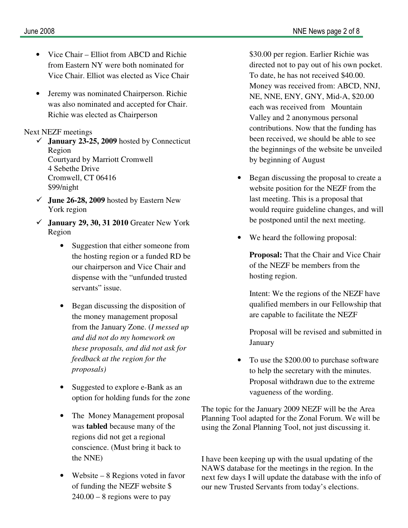- Vice Chair Elliot from ABCD and Richie from Eastern NY were both nominated for Vice Chair. Elliot was elected as Vice Chair
- Jeremy was nominated Chairperson. Richie was also nominated and accepted for Chair. Richie was elected as Chairperson

#### Next NEZF meetings

- **January 23-25, 2009** hosted by Connecticut Region Courtyard by Marriott Cromwell 4 Sebethe Drive Cromwell, CT 06416 \$99/night
- **June 26-28, 2009** hosted by Eastern New York region
- **January 29, 30, 31 2010** Greater New York Region
	- Suggestion that either someone from the hosting region or a funded RD be our chairperson and Vice Chair and dispense with the "unfunded trusted servants" issue.
	- Began discussing the disposition of the money management proposal from the January Zone. (*I messed up and did not do my homework on these proposals, and did not ask for feedback at the region for the proposals)*
	- Suggested to explore e-Bank as an option for holding funds for the zone
	- The Money Management proposal was **tabled** because many of the regions did not get a regional conscience. (Must bring it back to the NNE)
	- Website 8 Regions voted in favor of funding the NEZF website \$  $240.00 - 8$  regions were to pay

\$30.00 per region. Earlier Richie was directed not to pay out of his own pocket. To date, he has not received \$40.00. Money was received from: ABCD, NNJ, NE, NNE, ENY, GNY, Mid-A, \$20.00 each was received from Mountain Valley and 2 anonymous personal contributions. Now that the funding has been received, we should be able to see the beginnings of the website be unveiled by beginning of August

- Began discussing the proposal to create a website position for the NEZF from the last meeting. This is a proposal that would require guideline changes, and will be postponed until the next meeting.
- We heard the following proposal:

**Proposal:** That the Chair and Vice Chair of the NEZF be members from the hosting region.

Intent: We the regions of the NEZF have qualified members in our Fellowship that are capable to facilitate the NEZF

Proposal will be revised and submitted in January

• To use the \$200.00 to purchase software to help the secretary with the minutes. Proposal withdrawn due to the extreme vagueness of the wording.

The topic for the January 2009 NEZF will be the Area Planning Tool adapted for the Zonal Forum. We will be using the Zonal Planning Tool, not just discussing it.

I have been keeping up with the usual updating of the NAWS database for the meetings in the region. In the next few days I will update the database with the info of our new Trusted Servants from today's elections.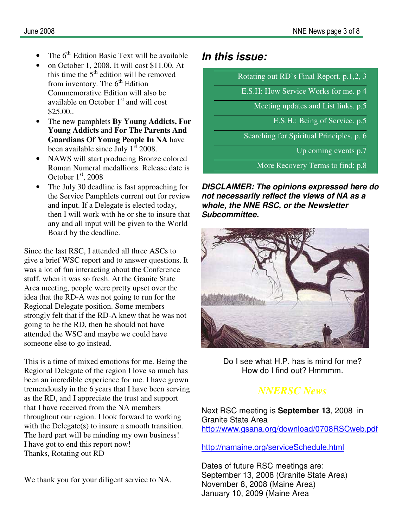- The 6<sup>th</sup> Edition Basic Text will be available
- on October 1, 2008. It will cost \$11.00. At this time the  $5<sup>th</sup>$  edition will be removed from inventory. The  $6<sup>th</sup>$  Edition Commemorative Edition will also be available on October  $1<sup>st</sup>$  and will cost \$25.00..
- The new pamphlets **By Young Addicts, For Young Addicts** and **For The Parents And Guardians Of Young People In NA** have been available since July  $1<sup>st</sup> 2008$ .
- NAWS will start producing Bronze colored Roman Numeral medallions. Release date is October  $1<sup>st</sup>$ , 2008
- The July 30 deadline is fast approaching for the Service Pamphlets current out for review and input. If a Delegate is elected today, then I will work with he or she to insure that any and all input will be given to the World Board by the deadline.

Since the last RSC, I attended all three ASCs to give a brief WSC report and to answer questions. It was a lot of fun interacting about the Conference stuff, when it was so fresh. At the Granite State Area meeting, people were pretty upset over the idea that the RD-A was not going to run for the Regional Delegate position. Some members strongly felt that if the RD-A knew that he was not going to be the RD, then he should not have attended the WSC and maybe we could have someone else to go instead.

This is a time of mixed emotions for me. Being the Regional Delegate of the region I love so much has been an incredible experience for me. I have grown tremendously in the 6 years that I have been serving as the RD, and I appreciate the trust and support that I have received from the NA members throughout our region. I look forward to working with the Delegate(s) to insure a smooth transition. The hard part will be minding my own business! I have got to end this report now! Thanks, Rotating out RD

We thank you for your diligent service to NA.

### **In this issue:**

Rotating out RD's Final Report. p.1,2, 3

E.S.H: How Service Works for me. p 4

Meeting updates and List links. p.5

E.S.H.: Being of Service. p.5

Searching for Spiritual Principles. p. 6

Up coming events p.7

More Recovery Terms to find: p.8

**DISCLAIMER: The opinions expressed here do not necessarily reflect the views of NA as a whole, the NNE RSC, or the Newsletter Subcommittee.** 



Do I see what H.P. has is mind for me? How do I find out? Hmmmm.

# *NNERSC News*

Next RSC meeting is **September 13**, 2008 in Granite State Area http://www.gsana.org/download/0708RSCweb.pdf

http://namaine.org/serviceSchedule.html

Dates of future RSC meetings are: September 13, 2008 (Granite State Area) November 8, 2008 (Maine Area) January 10, 2009 (Maine Area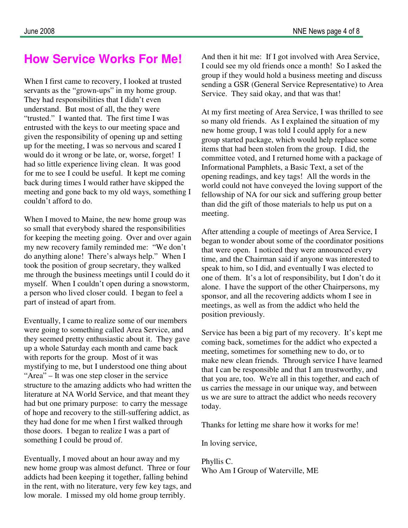# **How Service Works For Me!**

When I first came to recovery, I looked at trusted servants as the "grown-ups" in my home group. They had responsibilities that I didn't even understand. But most of all, the they were "trusted." I wanted that. The first time I was entrusted with the keys to our meeting space and given the responsibility of opening up and setting up for the meeting, I was so nervous and scared I would do it wrong or be late, or, worse, forget! I had so little experience living clean. It was good for me to see I could be useful. It kept me coming back during times I would rather have skipped the meeting and gone back to my old ways, something I couldn't afford to do.

When I moved to Maine, the new home group was so small that everybody shared the responsibilities for keeping the meeting going. Over and over again my new recovery family reminded me: "We don't do anything alone! There's always help." When I took the position of group secretary, they walked me through the business meetings until I could do it myself. When I couldn't open during a snowstorm, a person who lived closer could. I began to feel a part of instead of apart from.

Eventually, I came to realize some of our members were going to something called Area Service, and they seemed pretty enthusiastic about it. They gave up a whole Saturday each month and came back with reports for the group. Most of it was mystifying to me, but I understood one thing about "Area" – It was one step closer in the service structure to the amazing addicts who had written the literature at NA World Service, and that meant they had but one primary purpose: to carry the message of hope and recovery to the still-suffering addict, as they had done for me when I first walked through those doors. I began to realize I was a part of something I could be proud of.

Eventually, I moved about an hour away and my new home group was almost defunct. Three or four addicts had been keeping it together, falling behind in the rent, with no literature, very few key tags, and low morale. I missed my old home group terribly.

And then it hit me: If I got involved with Area Service, I could see my old friends once a month! So I asked the group if they would hold a business meeting and discuss sending a GSR (General Service Representative) to Area Service. They said okay, and that was that!

At my first meeting of Area Service, I was thrilled to see so many old friends. As I explained the situation of my new home group, I was told I could apply for a new group started package, which would help replace some items that had been stolen from the group. I did, the committee voted, and I returned home with a package of Informational Pamphlets, a Basic Text, a set of the opening readings, and key tags! All the words in the world could not have conveyed the loving support of the fellowship of NA for our sick and suffering group better than did the gift of those materials to help us put on a meeting.

After attending a couple of meetings of Area Service, I began to wonder about some of the coordinator positions that were open. I noticed they were announced every time, and the Chairman said if anyone was interested to speak to him, so I did, and eventually I was elected to one of them. It's a lot of responsibility, but I don't do it alone. I have the support of the other Chairpersons, my sponsor, and all the recovering addicts whom I see in meetings, as well as from the addict who held the position previously.

Service has been a big part of my recovery. It's kept me coming back, sometimes for the addict who expected a meeting, sometimes for something new to do, or to make new clean friends. Through service I have learned that I can be responsible and that I am trustworthy, and that you are, too. We're all in this together, and each of us carries the message in our unique way, and between us we are sure to attract the addict who needs recovery today.

Thanks for letting me share how it works for me!

In loving service,

Phyllis C. Who Am I Group of Waterville, ME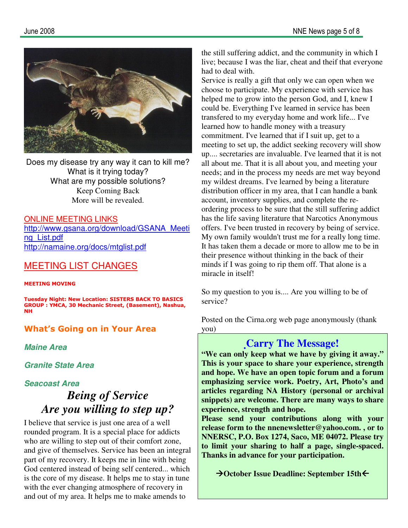

Does my disease try any way it can to kill me? What is it trying today? What are my possible solutions? Keep Coming Back More will be revealed.

#### ONLINE MEETING LINKS

http://www.gsana.org/download/GSANA\_Meeti ng\_List.pdf http://namaine.org/docs/mtglist.pdf

### MEETING LIST CHANGES

#### MEETING MOVING

Tuesday Night: New Location: SISTERS BACK TO BASICS GROUP : YMCA, 30 Mechanic Street, (Basement), Nashua, NH

#### What's Going on in Your Area

**Maine Area** 

**Granite State Area** 

#### **Seacoast Area**

# *Being of Service Are you willing to step up?*

I believe that service is just one area of a well rounded program. It is a special place for addicts who are willing to step out of their comfort zone, and give of themselves. Service has been an integral part of my recovery. It keeps me in line with being God centered instead of being self centered... which is the core of my disease. It helps me to stay in tune with the ever changing atmosphere of recovery in and out of my area. It helps me to make amends to

the still suffering addict, and the community in which I live; because I was the liar, cheat and theif that everyone had to deal with.

Service is really a gift that only we can open when we choose to participate. My experience with service has helped me to grow into the person God, and I, knew I could be. Everything I've learned in service has been transfered to my everyday home and work life... I've learned how to handle money with a treasury commitment. I've learned that if I suit up, get to a meeting to set up, the addict seeking recovery will show up.... secretaries are invaluable. I've learned that it is not all about me. That it is all about you, and meeting your needs; and in the process my needs are met way beyond my wildest dreams. I've learned by being a literature distribution officer in my area, that I can handle a bank account, inventory supplies, and complete the reordering process to be sure that the still suffering addict has the life saving literature that Narcotics Anonymous offers. I've been trusted in recovery by being of service. My own family wouldn't trust me for a really long time. It has taken them a decade or more to allow me to be in their presence without thinking in the back of their minds if I was going to rip them off. That alone is a miracle in itself!

So my question to you is.... Are you willing to be of service?

Posted on the Cirna.org web page anonymously (thank you)

### **Carry The Message!**

**"We can only keep what we have by giving it away." This is your space to share your experience, strength and hope. We have an open topic forum and a forum emphasizing service work. Poetry, Art, Photo's and articles regarding NA History (personal or archival snippets) are welcome. There are many ways to share experience, strength and hope.** 

**Please send your contributions along with your release form to the nnenewsletter@yahoo.com. , or to NNERSC, P.O. Box 1274, Saco, ME 04072. Please try to limit your sharing to half a page, single-spaced. Thanks in advance for your participation.** 

**→ October Issue Deadline: September 15th**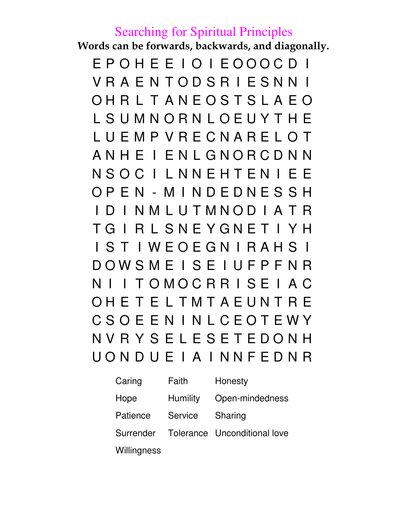# Searching for Spiritual Principles

Words can be forwards, backwards, and diagonally.

E P O H E E I O I E O O O C D I V R A E N T O D S R I E S N N I O H R L T A N E O S T S L A E O L S U M N O R N L O E U Y T H E L U E M P V R E C N A R E L O T A N H E I E N L G N O R C D N N N S O C I L N N E H T E N I E E O P E N - M I N D E D N E S S H I D I N M L U T M N O D I A T R T G I R L S N E Y G N E T I Y H I S T I W E O E G N I R A H S I D O W S M E I S E I U F P F N R N I I T O M O C R R I S E I A C O H E T E L T M T A E U N T R E C S O E E N I N L C E O T E W Y N V R Y S E L E S E T E D O N H U O N D U E I A I N N F E D N R

| Caring    | Faith           | Honesty                      |
|-----------|-----------------|------------------------------|
| Hope      | <b>Humility</b> | Open-mindedness              |
| Patience  | Service         | Sharing                      |
| Surrender |                 | Tolerance Unconditional love |
|           |                 |                              |

**Willingness**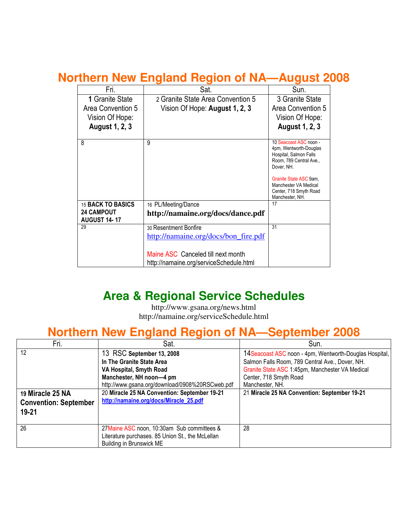# **Northern New England Region of NA—August 2008**

| Fri.                      | Sat.                                    | Sun.                                             |  |  |  |  |
|---------------------------|-----------------------------------------|--------------------------------------------------|--|--|--|--|
| 1 Granite State           | 2 Granite State Area Convention 5       | 3 Granite State                                  |  |  |  |  |
| Area Convention 5         | Vision Of Hope: August 1, 2, 3          | Area Convention 5                                |  |  |  |  |
| Vision Of Hope:           |                                         | Vision Of Hope:                                  |  |  |  |  |
| <b>August 1, 2, 3</b>     |                                         | <b>August 1, 2, 3</b>                            |  |  |  |  |
|                           |                                         |                                                  |  |  |  |  |
| 8                         | 9                                       | 10 Seacoast ASC noon -<br>4pm, Wentworth-Douglas |  |  |  |  |
|                           |                                         | Hospital, Salmon Falls                           |  |  |  |  |
|                           |                                         | Room, 789 Central Ave.,<br>Dover, NH.            |  |  |  |  |
|                           |                                         |                                                  |  |  |  |  |
|                           |                                         | Granite State ASC 9am,<br>Manchester VA Medical  |  |  |  |  |
|                           |                                         | Center, 718 Smyth Road                           |  |  |  |  |
|                           |                                         | Manchester, NH.                                  |  |  |  |  |
| 15 BACK TO BASICS         | 16 PL/Meeting/Dance                     | 17                                               |  |  |  |  |
| <b>24 CAMPOUT</b>         | http://namaine.org/docs/dance.pdf       |                                                  |  |  |  |  |
| <b>AUGUST 14-17</b><br>29 | 30 Resentment Bonfire                   | 31                                               |  |  |  |  |
|                           |                                         |                                                  |  |  |  |  |
|                           | http://namaine.org/docs/bon_fire.pdf    |                                                  |  |  |  |  |
|                           |                                         |                                                  |  |  |  |  |
|                           | Maine ASC Canceled till next month      |                                                  |  |  |  |  |
|                           | http://namaine.org/serviceSchedule.html |                                                  |  |  |  |  |

# **Area & Regional Service Schedules**

http://www.gsana.org/news.html http://namaine.org/serviceSchedule.html

# **Northern New England Region of NA—September 2008**

| Fri.                         | Sat.                                             | Sun.                                                    |
|------------------------------|--------------------------------------------------|---------------------------------------------------------|
| 12                           | 13 RSC September 13, 2008                        | 14 Seacoast ASC noon - 4pm, Wentworth-Douglas Hospital, |
|                              | In The Granite State Area                        | Salmon Falls Room, 789 Central Ave., Dover, NH.         |
|                              | VA Hospital, Smyth Road                          | Granite State ASC 1:45pm, Manchester VA Medical         |
|                              | Manchester, NH noon-4 pm                         | Center, 718 Smyth Road                                  |
|                              | http://www.gsana.org/download/0908%20RSCweb.pdf  | Manchester, NH.                                         |
| 19 Miracle 25 NA             | 20 Miracle 25 NA Convention: September 19-21     | 21 Miracle 25 NA Convention: September 19-21            |
| <b>Convention: September</b> | http://namaine.org/docs/Miracle_25.pdf           |                                                         |
| $19 - 21$                    |                                                  |                                                         |
|                              |                                                  |                                                         |
| 26                           | 27 Maine ASC noon, 10:30am Sub committees &      | 28                                                      |
|                              | Literature purchases. 85 Union St., the McLellan |                                                         |
|                              | Building in Brunswick ME                         |                                                         |